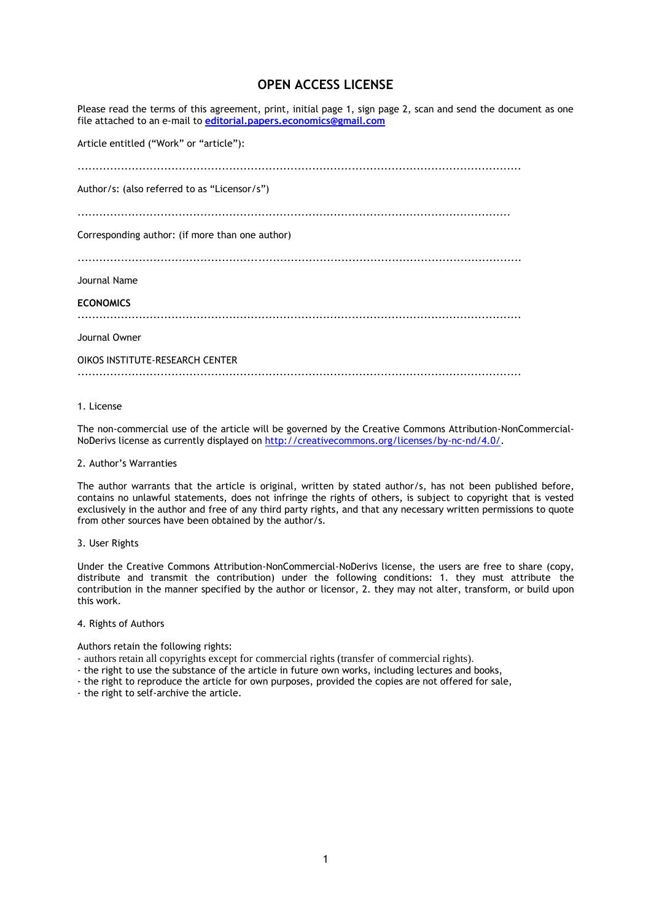# **OPEN ACCESS LICENSE**

Please read the terms of this agreement, print, initial page 1, sign page 2, scan and send the document as one file attached to an e-mail to **[editorial.papers.economics@gmail.com](mailto:editorial.papers.economics@gmail.com)**

Article entitled ("Work" or "article"):

| Author/s: (also referred to as "Licensor/s")    |
|-------------------------------------------------|
| Corresponding author: (if more than one author) |
| Journal Name<br><b>ECONOMICS</b>                |
| Journal Owner                                   |
| OIKOS INSTITUTE-RESEARCH CENTER                 |

# 1. License

The non-commercial use of the article will be governed by the Creative Commons Attribution-NonCommercial-NoDerivs license as currently displayed on [http://creativecommons.org/licenses/by-nc-nd/4.0/.](http://creativecommons.org/licenses/by-nc-nd/4.0/)

# 2. Author's Warranties

The author warrants that the article is original, written by stated author/s, has not been published before, contains no unlawful statements, does not infringe the rights of others, is subject to copyright that is vested exclusively in the author and free of any third party rights, and that any necessary written permissions to quote from other sources have been obtained by the author/s.

#### 3. User Rights

Under the Creative Commons Attribution-NonCommercial-NoDerivs license, the users are free to share (copy, distribute and transmit the contribution) under the following conditions: 1. they must attribute the contribution in the manner specified by the author or licensor, 2. they may not alter, transform, or build upon this work.

#### 4. Rights of Authors

Authors retain the following rights:

- authors retain all copyrights except for commercial rights (transfer of commercial rights).
- the right to use the substance of the article in future own works, including lectures and books,
- the right to reproduce the article for own purposes, provided the copies are not offered for sale,
- the right to self-archive the article.